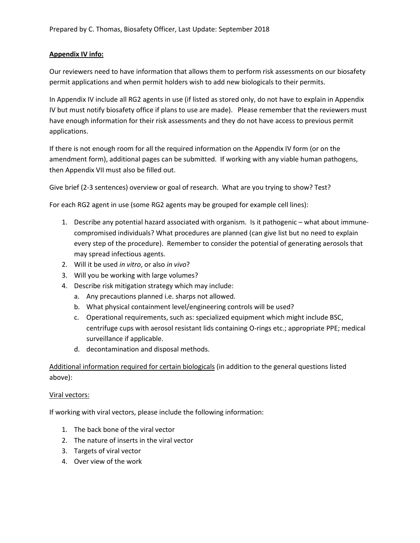## **Appendix IV info:**

Our reviewers need to have information that allows them to perform risk assessments on our biosafety permit applications and when permit holders wish to add new biologicals to their permits.

In Appendix IV include all RG2 agents in use (if listed as stored only, do not have to explain in Appendix IV but must notify biosafety office if plans to use are made). Please remember that the reviewers must have enough information for their risk assessments and they do not have access to previous permit applications.

If there is not enough room for all the required information on the Appendix IV form (or on the amendment form), additional pages can be submitted. If working with any viable human pathogens, then Appendix VII must also be filled out.

Give brief (2-3 sentences) overview or goal of research. What are you trying to show? Test?

For each RG2 agent in use (some RG2 agents may be grouped for example cell lines):

- 1. Describe any potential hazard associated with organism. Is it pathogenic what about immunecompromised individuals? What procedures are planned (can give list but no need to explain every step of the procedure). Remember to consider the potential of generating aerosols that may spread infectious agents.
- 2. Will it be used *in vitro*, or also *in vivo*?
- 3. Will you be working with large volumes?
- 4. Describe risk mitigation strategy which may include:
	- a. Any precautions planned i.e. sharps not allowed.
	- b. What physical containment level/engineering controls will be used?
	- c. Operational requirements, such as: specialized equipment which might include BSC, centrifuge cups with aerosol resistant lids containing O-rings etc.; appropriate PPE; medical surveillance if applicable.
	- d. decontamination and disposal methods.

Additional information required for certain biologicals (in addition to the general questions listed above):

#### Viral vectors:

If working with viral vectors, please include the following information:

- 1. The back bone of the viral vector
- 2. The nature of inserts in the viral vector
- 3. Targets of viral vector
- 4. Over view of the work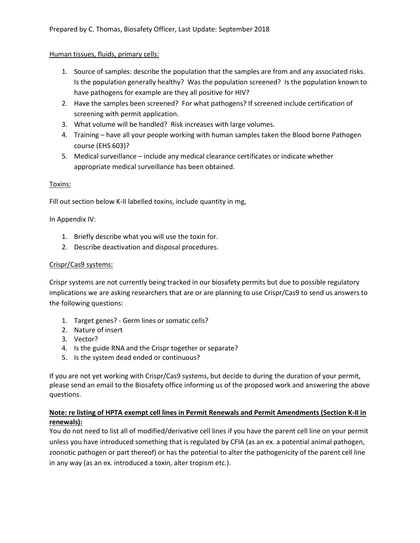### Human tissues, fluids, primary cells:

- 1. Source of samples: describe the population that the samples are from and any associated risks. Is the population generally healthy? Was the population screened? Is the population known to have pathogens for example are they all positive for HIV?
- 2. Have the samples been screened? For what pathogens? If screened include certification of screening with permit application.
- 3. What volume will be handled? Risk increases with large volumes.
- 4. Training have all your people working with human samples taken the Blood borne Pathogen course (EHS 603)?
- 5. Medical surveillance include any medical clearance certificates or indicate whether appropriate medical surveillance has been obtained.

### Toxins:

Fill out section below K-II labelled toxins, include quantity in mg,

In Appendix IV:

- 1. Briefly describe what you will use the toxin for.
- 2. Describe deactivation and disposal procedures.

#### Crispr/Cas9 systems:

Crispr systems are not currently being tracked in our biosafety permits but due to possible regulatory implications we are asking researchers that are or are planning to use Crispr/Cas9 to send us answers to the following questions:

- 1. Target genes? Germ lines or somatic cells?
- 2. Nature of insert
- 3. Vector?
- 4. Is the guide RNA and the Crispr together or separate?
- 5. Is the system dead ended or continuous?

If you are not yet working with Crispr/Cas9 systems, but decide to during the duration of your permit, please send an email to the Biosafety office informing us of the proposed work and answering the above questions.

### **Note: re listing of HPTA exempt cell lines in Permit Renewals and Permit Amendments (Section K-II in renewals):**

You do not need to list all of modified/derivative cell lines if you have the parent cell line on your permit unless you have introduced something that is regulated by CFIA (as an ex. a potential animal pathogen, zoonotic pathogen or part thereof) or has the potential to alter the pathogenicity of the parent cell line in any way (as an ex. introduced a toxin, alter tropism etc.).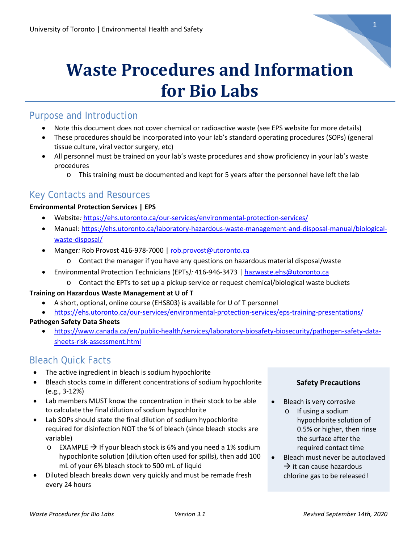

# **Waste Procedures and Information for Bio Labs**

# Purpose and Introduction

- Note this document does not cover chemical or radioactive waste (see EPS website for more details)
- These procedures should be incorporated into your lab's standard operating procedures (SOPs) (general tissue culture, viral vector surgery, etc)
- All personnel must be trained on your lab's waste procedures and show proficiency in your lab's waste procedures
	- o This training must be documented and kept for 5 years after the personnel have left the lab

# Key Contacts and Resources

## **Environmental Protection Services | EPS**

- Website*:* <https://ehs.utoronto.ca/our-services/environmental-protection-services/>
- Manual: [https://ehs.utoronto.ca/laboratory-hazardous-waste-management-and-disposal-manual/biological](https://ehs.utoronto.ca/laboratory-hazardous-waste-management-and-disposal-manual/biological-waste-disposal/)[waste-disposal/](https://ehs.utoronto.ca/laboratory-hazardous-waste-management-and-disposal-manual/biological-waste-disposal/)
- Manger*:* Rob Provost 416-978-7000 | [rob.provost@utoronto.ca](mailto:rob.provost@utoronto.ca)
	- o Contact the manager if you have any questions on hazardous material disposal/waste
- Environmental Protection Technicians (EPTs*):* 416-946-3473 [| hazwaste.ehs@utoronto.ca](mailto:hazwaste.ehs@utoronto.ca)
	- o Contact the EPTs to set up a pickup service or request chemical/biological waste buckets

## **Training on Hazardous Waste Management at U of T**

- A short, optional, online course (EHS803) is available for U of T personnel
- <https://ehs.utoronto.ca/our-services/environmental-protection-services/eps-training-presentations/>

## **Pathogen Safety Data Sheets**

• [https://www.canada.ca/en/public-health/services/laboratory-biosafety-biosecurity/pathogen-safety-data](https://www.canada.ca/en/public-health/services/laboratory-biosafety-biosecurity/pathogen-safety-data-sheets-risk-assessment.html)[sheets-risk-assessment.html](https://www.canada.ca/en/public-health/services/laboratory-biosafety-biosecurity/pathogen-safety-data-sheets-risk-assessment.html)

# Bleach Quick Facts

- The active ingredient in bleach is sodium hypochlorite
- Bleach stocks come in different concentrations of sodium hypochlorite (e.g., 3-12%)
- Lab members MUST know the concentration in their stock to be able to calculate the final dilution of sodium hypochlorite
- Lab SOPs should state the final dilution of sodium hypochlorite required for disinfection NOT the % of bleach (since bleach stocks are variable)
	- $\circ$  EXAMPLE  $\rightarrow$  If your bleach stock is 6% and you need a 1% sodium hypochlorite solution (dilution often used for spills), then add 100 mL of your 6% bleach stock to 500 mL of liquid
- Diluted bleach breaks down very quickly and must be remade fresh every 24 hours

## **Safety Precautions**

- Bleach is very corrosive
	- o If using a sodium hypochlorite solution of 0.5% or higher, then rinse the surface after the required contact time
- Bleach must never be autoclaved  $\rightarrow$  it can cause hazardous chlorine gas to be released!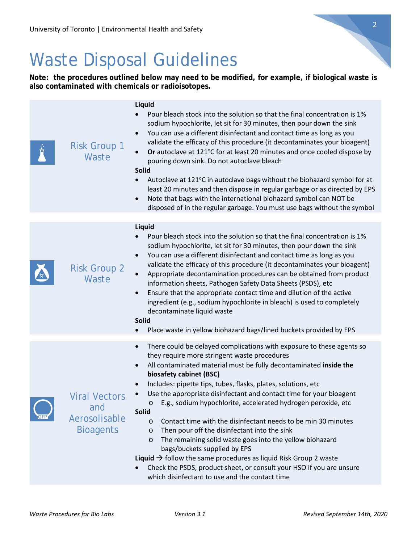# Waste Disposal Guidelines

**Note: the procedures outlined below may need to be modified, for example, if biological waste is also contaminated with chemicals or radioisotopes.**

|            | <b>Risk Group 1</b><br>Waste                                     | Liquid<br>Pour bleach stock into the solution so that the final concentration is 1%<br>sodium hypochlorite, let sit for 30 minutes, then pour down the sink<br>You can use a different disinfectant and contact time as long as you<br>$\bullet$<br>validate the efficacy of this procedure (it decontaminates your bioagent)<br>Or autoclave at 121°C for at least 20 minutes and once cooled dispose by<br>pouring down sink. Do not autoclave bleach<br><b>Solid</b><br>Autoclave at 121°C in autoclave bags without the biohazard symbol for at<br>$\bullet$<br>least 20 minutes and then dispose in regular garbage or as directed by EPS<br>Note that bags with the international biohazard symbol can NOT be<br>$\bullet$<br>disposed of in the regular garbage. You must use bags without the symbol                                                                                                                                       |
|------------|------------------------------------------------------------------|----------------------------------------------------------------------------------------------------------------------------------------------------------------------------------------------------------------------------------------------------------------------------------------------------------------------------------------------------------------------------------------------------------------------------------------------------------------------------------------------------------------------------------------------------------------------------------------------------------------------------------------------------------------------------------------------------------------------------------------------------------------------------------------------------------------------------------------------------------------------------------------------------------------------------------------------------|
|            | <b>Risk Group 2</b><br>Waste                                     | Liquid<br>Pour bleach stock into the solution so that the final concentration is 1%<br>sodium hypochlorite, let sit for 30 minutes, then pour down the sink<br>You can use a different disinfectant and contact time as long as you<br>validate the efficacy of this procedure (it decontaminates your bioagent)<br>Appropriate decontamination procedures can be obtained from product<br>information sheets, Pathogen Safety Data Sheets (PSDS), etc<br>Ensure that the appropriate contact time and dilution of the active<br>$\bullet$<br>ingredient (e.g., sodium hypochlorite in bleach) is used to completely<br>decontaminate liquid waste<br>Solid<br>Place waste in yellow biohazard bags/lined buckets provided by EPS                                                                                                                                                                                                                  |
| <b>GFP</b> | <b>Viral Vectors</b><br>and<br>Aerosolisable<br><b>Bioagents</b> | There could be delayed complications with exposure to these agents so<br>$\bullet$<br>they require more stringent waste procedures<br>All contaminated material must be fully decontaminated inside the<br>biosafety cabinet (BSC)<br>Includes: pipette tips, tubes, flasks, plates, solutions, etc<br>$\bullet$<br>Use the appropriate disinfectant and contact time for your bioagent<br>E.g., sodium hypochlorite, accelerated hydrogen peroxide, etc<br>$\circ$<br><b>Solid</b><br>Contact time with the disinfectant needs to be min 30 minutes<br>$\circ$<br>Then pour off the disinfectant into the sink<br>$\circ$<br>The remaining solid waste goes into the yellow biohazard<br>$\circ$<br>bags/buckets supplied by EPS<br><b>Liquid</b> $\rightarrow$ follow the same procedures as liquid Risk Group 2 waste<br>Check the PSDS, product sheet, or consult your HSO if you are unsure<br>which disinfectant to use and the contact time |